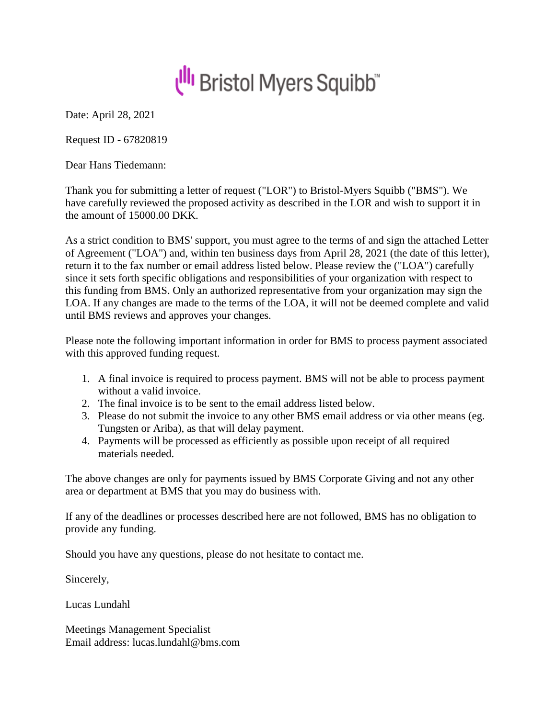

Date: April 28, 2021

Request ID - 67820819

Dear Hans Tiedemann:

Thank you for submitting a letter of request ("LOR") to Bristol-Myers Squibb ("BMS"). We have carefully reviewed the proposed activity as described in the LOR and wish to support it in the amount of 15000.00 DKK.

As a strict condition to BMS' support, you must agree to the terms of and sign the attached Letter of Agreement ("LOA") and, within ten business days from April 28, 2021 (the date of this letter), return it to the fax number or email address listed below. Please review the ("LOA") carefully since it sets forth specific obligations and responsibilities of your organization with respect to this funding from BMS. Only an authorized representative from your organization may sign the LOA. If any changes are made to the terms of the LOA, it will not be deemed complete and valid until BMS reviews and approves your changes.

Please note the following important information in order for BMS to process payment associated with this approved funding request.

- 1. A final invoice is required to process payment. BMS will not be able to process payment without a valid invoice.
- 2. The final invoice is to be sent to the email address listed below.
- 3. Please do not submit the invoice to any other BMS email address or via other means (eg. Tungsten or Ariba), as that will delay payment.
- 4. Payments will be processed as efficiently as possible upon receipt of all required materials needed.

The above changes are only for payments issued by BMS Corporate Giving and not any other area or department at BMS that you may do business with.

If any of the deadlines or processes described here are not followed, BMS has no obligation to provide any funding.

Should you have any questions, please do not hesitate to contact me.

Sincerely,

Lucas Lundahl

Meetings Management Specialist Email address: lucas.lundahl@bms.com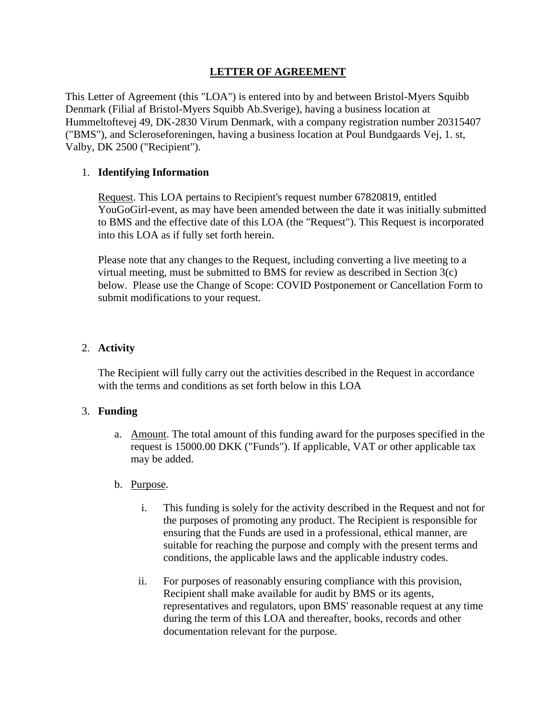# **LETTER OF AGREEMENT**

This Letter of Agreement (this "LOA") is entered into by and between Bristol-Myers Squibb Denmark (Filial af Bristol-Myers Squibb Ab.Sverige), having a business location at Hummeltoftevej 49, DK-2830 Virum Denmark, with a company registration number 20315407 ("BMS"), and Scleroseforeningen, having a business location at Poul Bundgaards Vej, 1. st, Valby, DK 2500 ("Recipient").

# 1. **Identifying Information**

Request. This LOA pertains to Recipient's request number 67820819, entitled YouGoGirl-event, as may have been amended between the date it was initially submitted to BMS and the effective date of this LOA (the "Request"). This Request is incorporated into this LOA as if fully set forth herein.

Please note that any changes to the Request, including converting a live meeting to a virtual meeting, must be submitted to BMS for review as described in Section 3(c) below. Please use the Change of Scope: COVID Postponement or Cancellation Form to submit modifications to your request.

## 2. **Activity**

The Recipient will fully carry out the activities described in the Request in accordance with the terms and conditions as set forth below in this LOA

## 3. **Funding**

a. Amount. The total amount of this funding award for the purposes specified in the request is 15000.00 DKK ("Funds"). If applicable, VAT or other applicable tax may be added.

## b. Purpose.

- i. This funding is solely for the activity described in the Request and not for the purposes of promoting any product. The Recipient is responsible for ensuring that the Funds are used in a professional, ethical manner, are suitable for reaching the purpose and comply with the present terms and conditions, the applicable laws and the applicable industry codes.
- ii. For purposes of reasonably ensuring compliance with this provision, Recipient shall make available for audit by BMS or its agents, representatives and regulators, upon BMS' reasonable request at any time during the term of this LOA and thereafter, books, records and other documentation relevant for the purpose.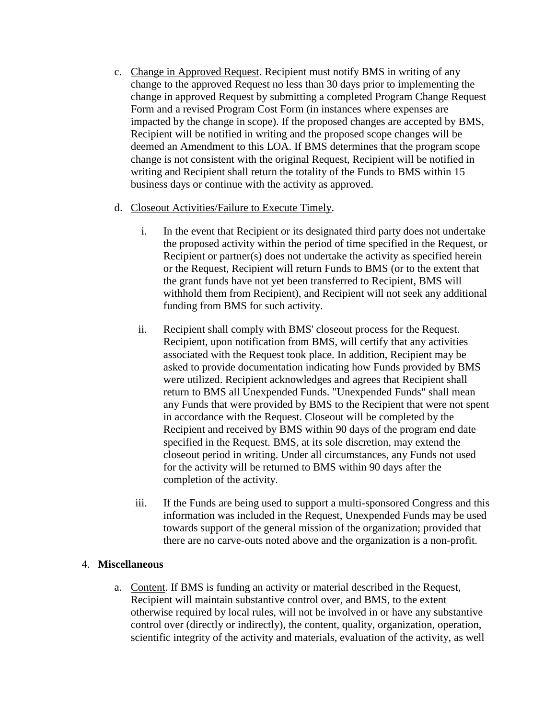- c. Change in Approved Request. Recipient must notify BMS in writing of any change to the approved Request no less than 30 days prior to implementing the change in approved Request by submitting a completed Program Change Request Form and a revised Program Cost Form (in instances where expenses are impacted by the change in scope). If the proposed changes are accepted by BMS, Recipient will be notified in writing and the proposed scope changes will be deemed an Amendment to this LOA. If BMS determines that the program scope change is not consistent with the original Request, Recipient will be notified in writing and Recipient shall return the totality of the Funds to BMS within 15 business days or continue with the activity as approved.
- d. Closeout Activities/Failure to Execute Timely.
	- i. In the event that Recipient or its designated third party does not undertake the proposed activity within the period of time specified in the Request, or Recipient or partner(s) does not undertake the activity as specified herein or the Request, Recipient will return Funds to BMS (or to the extent that the grant funds have not yet been transferred to Recipient, BMS will withhold them from Recipient), and Recipient will not seek any additional funding from BMS for such activity.
	- ii. Recipient shall comply with BMS' closeout process for the Request. Recipient, upon notification from BMS, will certify that any activities associated with the Request took place. In addition, Recipient may be asked to provide documentation indicating how Funds provided by BMS were utilized. Recipient acknowledges and agrees that Recipient shall return to BMS all Unexpended Funds. "Unexpended Funds" shall mean any Funds that were provided by BMS to the Recipient that were not spent in accordance with the Request. Closeout will be completed by the Recipient and received by BMS within 90 days of the program end date specified in the Request. BMS, at its sole discretion, may extend the closeout period in writing. Under all circumstances, any Funds not used for the activity will be returned to BMS within 90 days after the completion of the activity.
	- iii. If the Funds are being used to support a multi-sponsored Congress and this information was included in the Request, Unexpended Funds may be used towards support of the general mission of the organization; provided that there are no carve-outs noted above and the organization is a non-profit.

## 4. **Miscellaneous**

a. Content. If BMS is funding an activity or material described in the Request, Recipient will maintain substantive control over, and BMS, to the extent otherwise required by local rules, will not be involved in or have any substantive control over (directly or indirectly), the content, quality, organization, operation, scientific integrity of the activity and materials, evaluation of the activity, as well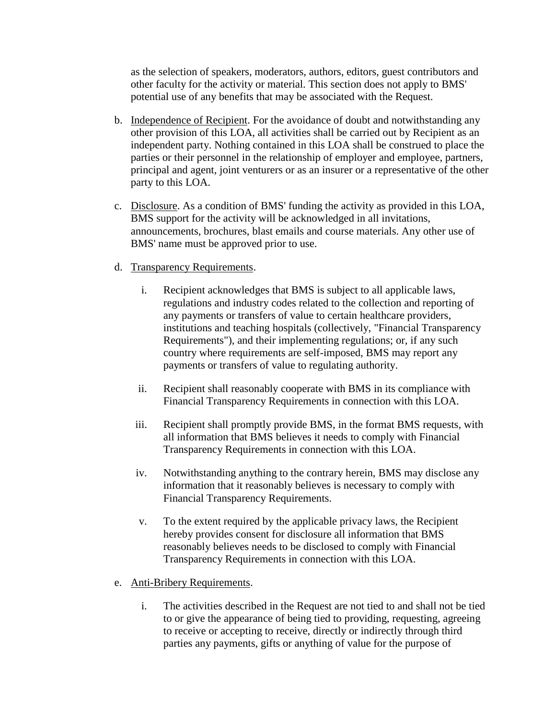as the selection of speakers, moderators, authors, editors, guest contributors and other faculty for the activity or material. This section does not apply to BMS' potential use of any benefits that may be associated with the Request.

- b. Independence of Recipient. For the avoidance of doubt and notwithstanding any other provision of this LOA, all activities shall be carried out by Recipient as an independent party. Nothing contained in this LOA shall be construed to place the parties or their personnel in the relationship of employer and employee, partners, principal and agent, joint venturers or as an insurer or a representative of the other party to this LOA.
- c. Disclosure. As a condition of BMS' funding the activity as provided in this LOA, BMS support for the activity will be acknowledged in all invitations, announcements, brochures, blast emails and course materials. Any other use of BMS' name must be approved prior to use.
- d. Transparency Requirements.
	- i. Recipient acknowledges that BMS is subject to all applicable laws, regulations and industry codes related to the collection and reporting of any payments or transfers of value to certain healthcare providers, institutions and teaching hospitals (collectively, "Financial Transparency Requirements"), and their implementing regulations; or, if any such country where requirements are self-imposed, BMS may report any payments or transfers of value to regulating authority.
	- ii. Recipient shall reasonably cooperate with BMS in its compliance with Financial Transparency Requirements in connection with this LOA.
	- iii. Recipient shall promptly provide BMS, in the format BMS requests, with all information that BMS believes it needs to comply with Financial Transparency Requirements in connection with this LOA.
	- iv. Notwithstanding anything to the contrary herein, BMS may disclose any information that it reasonably believes is necessary to comply with Financial Transparency Requirements.
	- v. To the extent required by the applicable privacy laws, the Recipient hereby provides consent for disclosure all information that BMS reasonably believes needs to be disclosed to comply with Financial Transparency Requirements in connection with this LOA.
- e. Anti-Bribery Requirements.
	- i. The activities described in the Request are not tied to and shall not be tied to or give the appearance of being tied to providing, requesting, agreeing to receive or accepting to receive, directly or indirectly through third parties any payments, gifts or anything of value for the purpose of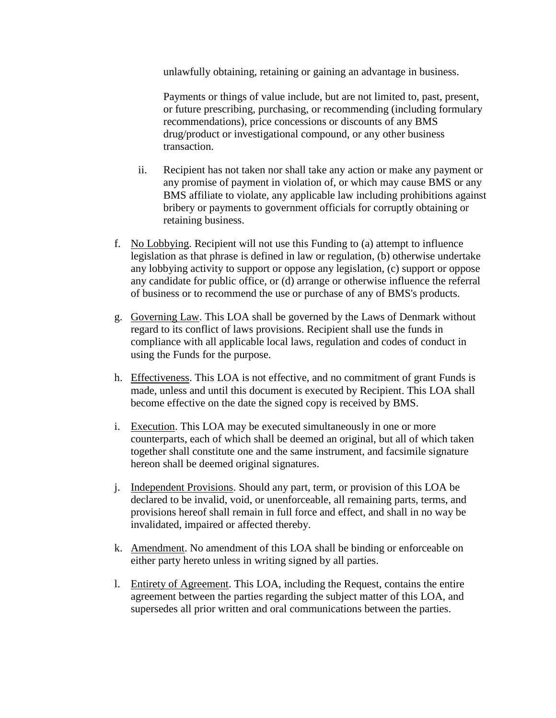unlawfully obtaining, retaining or gaining an advantage in business.

Payments or things of value include, but are not limited to, past, present, or future prescribing, purchasing, or recommending (including formulary recommendations), price concessions or discounts of any BMS drug/product or investigational compound, or any other business transaction.

- ii. Recipient has not taken nor shall take any action or make any payment or any promise of payment in violation of, or which may cause BMS or any BMS affiliate to violate, any applicable law including prohibitions against bribery or payments to government officials for corruptly obtaining or retaining business.
- f. No Lobbying. Recipient will not use this Funding to (a) attempt to influence legislation as that phrase is defined in law or regulation, (b) otherwise undertake any lobbying activity to support or oppose any legislation, (c) support or oppose any candidate for public office, or (d) arrange or otherwise influence the referral of business or to recommend the use or purchase of any of BMS's products.
- g. Governing Law. This LOA shall be governed by the Laws of Denmark without regard to its conflict of laws provisions. Recipient shall use the funds in compliance with all applicable local laws, regulation and codes of conduct in using the Funds for the purpose.
- h. Effectiveness. This LOA is not effective, and no commitment of grant Funds is made, unless and until this document is executed by Recipient. This LOA shall become effective on the date the signed copy is received by BMS.
- i. Execution. This LOA may be executed simultaneously in one or more counterparts, each of which shall be deemed an original, but all of which taken together shall constitute one and the same instrument, and facsimile signature hereon shall be deemed original signatures.
- j. Independent Provisions. Should any part, term, or provision of this LOA be declared to be invalid, void, or unenforceable, all remaining parts, terms, and provisions hereof shall remain in full force and effect, and shall in no way be invalidated, impaired or affected thereby.
- k. Amendment. No amendment of this LOA shall be binding or enforceable on either party hereto unless in writing signed by all parties.
- l. Entirety of Agreement. This LOA, including the Request, contains the entire agreement between the parties regarding the subject matter of this LOA, and supersedes all prior written and oral communications between the parties.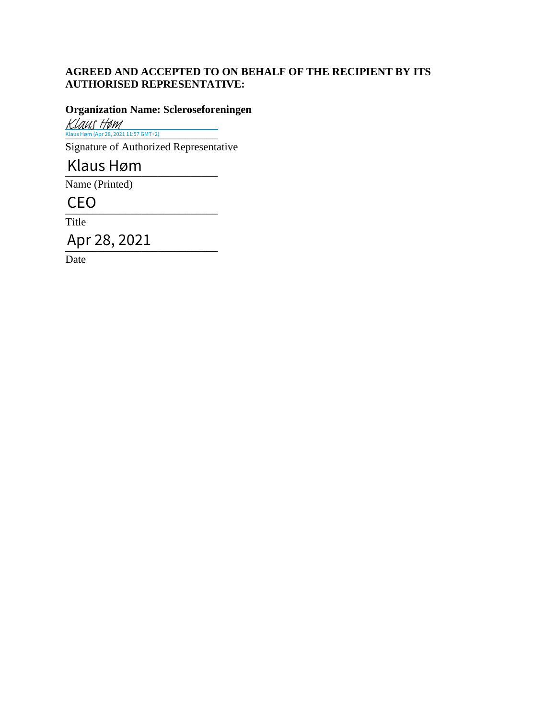# **AGREED AND ACCEPTED TO ON BEHALF OF THE RECIPIENT BY ITS AUTHORISED REPRESENTATIVE:**

## **Organization Name: Scleroseforeningen**

Klaus Høm (Apr 28, 2021 11:57 GMT+2) Klaus Høm

Signature of Authorized Representative

# \_\_\_\_\_\_\_\_\_\_\_\_\_\_\_\_\_\_\_\_\_\_\_\_\_\_\_\_ Klaus Høm

Name (Printed)

 $CEO$ 

Title

CEO<br>Title<br>Apr 28, 2021

Date